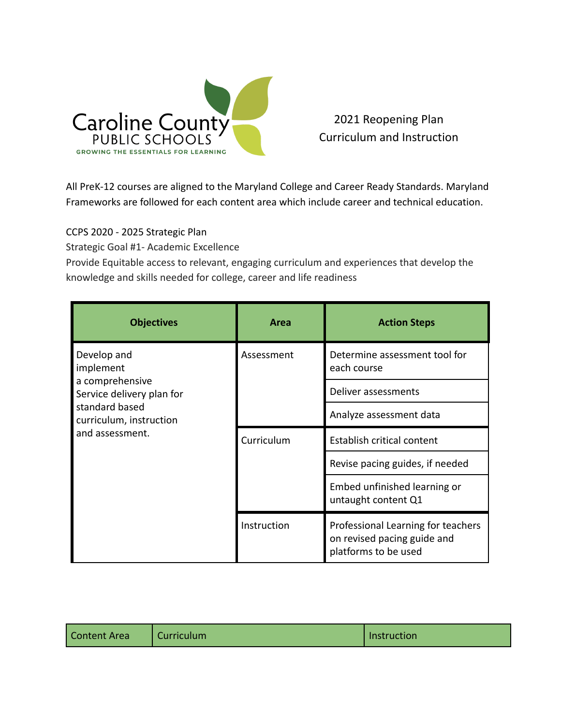

2021 Reopening Plan Curriculum and Instruction

All PreK-12 courses are aligned to the Maryland College and Career Ready Standards. Maryland Frameworks are followed for each content area which include career and technical education.

CCPS 2020 - 2025 Strategic Plan

Strategic Goal #1- Academic Excellence

Provide Equitable access to relevant, engaging curriculum and experiences that develop the knowledge and skills needed for college, career and life readiness

| <b>Objectives</b>                                                                                                                        | Area        | <b>Action Steps</b>                                                                       |
|------------------------------------------------------------------------------------------------------------------------------------------|-------------|-------------------------------------------------------------------------------------------|
| Develop and<br>implement<br>a comprehensive<br>Service delivery plan for<br>standard based<br>curriculum, instruction<br>and assessment. | Assessment  | Determine assessment tool for<br>each course                                              |
|                                                                                                                                          |             | Deliver assessments                                                                       |
|                                                                                                                                          |             | Analyze assessment data                                                                   |
|                                                                                                                                          | Curriculum  | Establish critical content                                                                |
|                                                                                                                                          |             | Revise pacing guides, if needed                                                           |
|                                                                                                                                          |             | Embed unfinished learning or<br>untaught content Q1                                       |
|                                                                                                                                          | Instruction | Professional Learning for teachers<br>on revised pacing guide and<br>platforms to be used |

| <b>Content Area</b><br>Curriculum | Instruction |
|-----------------------------------|-------------|
|-----------------------------------|-------------|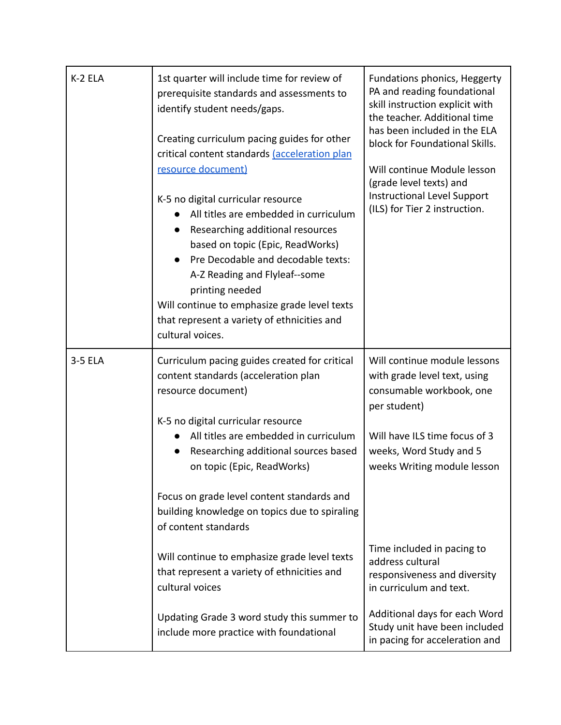| K-2 ELA | 1st quarter will include time for review of<br>prerequisite standards and assessments to<br>identify student needs/gaps.<br>Creating curriculum pacing guides for other<br>critical content standards (acceleration plan<br>resource document)<br>K-5 no digital curricular resource<br>All titles are embedded in curriculum<br>Researching additional resources<br>based on topic (Epic, ReadWorks)<br>Pre Decodable and decodable texts:<br>A-Z Reading and Flyleaf--some<br>printing needed<br>Will continue to emphasize grade level texts<br>that represent a variety of ethnicities and<br>cultural voices. | Fundations phonics, Heggerty<br>PA and reading foundational<br>skill instruction explicit with<br>the teacher. Additional time<br>has been included in the ELA<br>block for Foundational Skills.<br>Will continue Module lesson<br>(grade level texts) and<br>Instructional Level Support<br>(ILS) for Tier 2 instruction.                                                                                           |
|---------|--------------------------------------------------------------------------------------------------------------------------------------------------------------------------------------------------------------------------------------------------------------------------------------------------------------------------------------------------------------------------------------------------------------------------------------------------------------------------------------------------------------------------------------------------------------------------------------------------------------------|----------------------------------------------------------------------------------------------------------------------------------------------------------------------------------------------------------------------------------------------------------------------------------------------------------------------------------------------------------------------------------------------------------------------|
| 3-5 ELA | Curriculum pacing guides created for critical<br>content standards (acceleration plan<br>resource document)<br>K-5 no digital curricular resource<br>All titles are embedded in curriculum<br>Researching additional sources based<br>on topic (Epic, ReadWorks)<br>Focus on grade level content standards and<br>building knowledge on topics due to spiraling<br>of content standards<br>Will continue to emphasize grade level texts<br>that represent a variety of ethnicities and<br>cultural voices<br>Updating Grade 3 word study this summer to<br>include more practice with foundational                 | Will continue module lessons<br>with grade level text, using<br>consumable workbook, one<br>per student)<br>Will have ILS time focus of 3<br>weeks, Word Study and 5<br>weeks Writing module lesson<br>Time included in pacing to<br>address cultural<br>responsiveness and diversity<br>in curriculum and text.<br>Additional days for each Word<br>Study unit have been included<br>in pacing for acceleration and |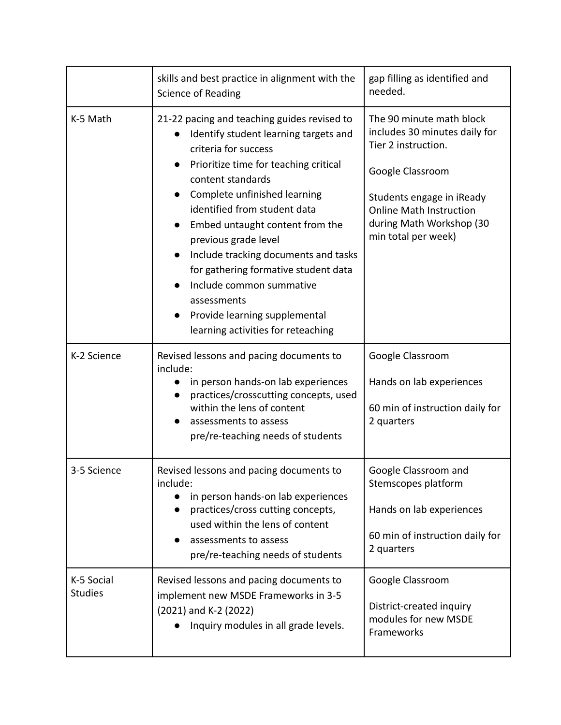|                              | skills and best practice in alignment with the<br>Science of Reading                                                                                                                                                                                                                                                                                                                                                                                                                                                 | gap filling as identified and<br>needed.                                                                                                                                                                               |
|------------------------------|----------------------------------------------------------------------------------------------------------------------------------------------------------------------------------------------------------------------------------------------------------------------------------------------------------------------------------------------------------------------------------------------------------------------------------------------------------------------------------------------------------------------|------------------------------------------------------------------------------------------------------------------------------------------------------------------------------------------------------------------------|
| K-5 Math                     | 21-22 pacing and teaching guides revised to<br>Identify student learning targets and<br>criteria for success<br>Prioritize time for teaching critical<br>content standards<br>Complete unfinished learning<br>identified from student data<br>Embed untaught content from the<br>previous grade level<br>Include tracking documents and tasks<br>$\bullet$<br>for gathering formative student data<br>Include common summative<br>assessments<br>Provide learning supplemental<br>learning activities for reteaching | The 90 minute math block<br>includes 30 minutes daily for<br>Tier 2 instruction.<br>Google Classroom<br>Students engage in iReady<br><b>Online Math Instruction</b><br>during Math Workshop (30<br>min total per week) |
| K-2 Science                  | Revised lessons and pacing documents to<br>include:<br>in person hands-on lab experiences<br>practices/crosscutting concepts, used<br>within the lens of content<br>assessments to assess<br>pre/re-teaching needs of students                                                                                                                                                                                                                                                                                       | Google Classroom<br>Hands on lab experiences<br>60 min of instruction daily for<br>2 quarters                                                                                                                          |
| 3-5 Science                  | Revised lessons and pacing documents to<br>include:<br>in person hands-on lab experiences<br>practices/cross cutting concepts,<br>used within the lens of content<br>assessments to assess<br>pre/re-teaching needs of students                                                                                                                                                                                                                                                                                      | Google Classroom and<br>Stemscopes platform<br>Hands on lab experiences<br>60 min of instruction daily for<br>2 quarters                                                                                               |
| K-5 Social<br><b>Studies</b> | Revised lessons and pacing documents to<br>implement new MSDE Frameworks in 3-5<br>(2021) and K-2 (2022)<br>Inquiry modules in all grade levels.                                                                                                                                                                                                                                                                                                                                                                     | Google Classroom<br>District-created inquiry<br>modules for new MSDE<br>Frameworks                                                                                                                                     |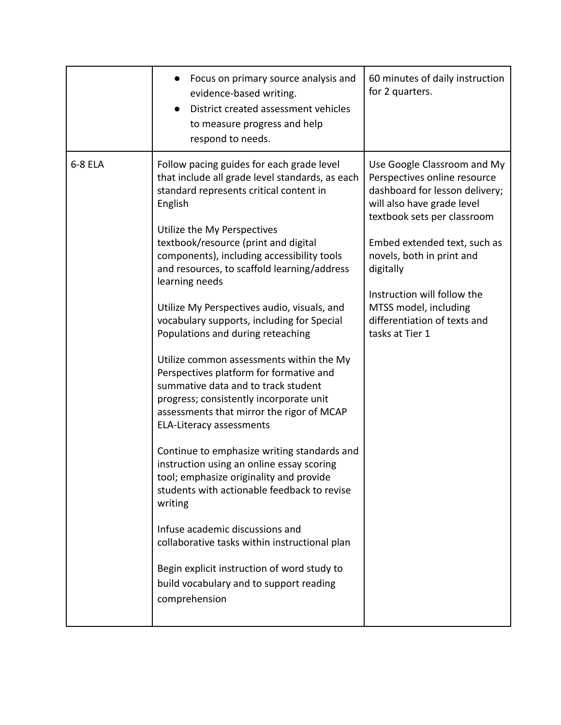|         | Focus on primary source analysis and<br>evidence-based writing.<br>District created assessment vehicles<br>to measure progress and help<br>respond to needs.                                                                                                                                                                                                                                                                                                                                                                                                                                                                                                                                                                                                                                                                                                                                                                                                                                                                                                                                                                        | 60 minutes of daily instruction<br>for 2 quarters.                                                                                                                                                                                                                                                                                              |
|---------|-------------------------------------------------------------------------------------------------------------------------------------------------------------------------------------------------------------------------------------------------------------------------------------------------------------------------------------------------------------------------------------------------------------------------------------------------------------------------------------------------------------------------------------------------------------------------------------------------------------------------------------------------------------------------------------------------------------------------------------------------------------------------------------------------------------------------------------------------------------------------------------------------------------------------------------------------------------------------------------------------------------------------------------------------------------------------------------------------------------------------------------|-------------------------------------------------------------------------------------------------------------------------------------------------------------------------------------------------------------------------------------------------------------------------------------------------------------------------------------------------|
| 6-8 ELA | Follow pacing guides for each grade level<br>that include all grade level standards, as each<br>standard represents critical content in<br>English<br>Utilize the My Perspectives<br>textbook/resource (print and digital<br>components), including accessibility tools<br>and resources, to scaffold learning/address<br>learning needs<br>Utilize My Perspectives audio, visuals, and<br>vocabulary supports, including for Special<br>Populations and during reteaching<br>Utilize common assessments within the My<br>Perspectives platform for formative and<br>summative data and to track student<br>progress; consistently incorporate unit<br>assessments that mirror the rigor of MCAP<br><b>ELA-Literacy assessments</b><br>Continue to emphasize writing standards and<br>instruction using an online essay scoring<br>tool; emphasize originality and provide<br>students with actionable feedback to revise<br>writing<br>Infuse academic discussions and<br>collaborative tasks within instructional plan<br>Begin explicit instruction of word study to<br>build vocabulary and to support reading<br>comprehension | Use Google Classroom and My<br>Perspectives online resource<br>dashboard for lesson delivery;<br>will also have grade level<br>textbook sets per classroom<br>Embed extended text, such as<br>novels, both in print and<br>digitally<br>Instruction will follow the<br>MTSS model, including<br>differentiation of texts and<br>tasks at Tier 1 |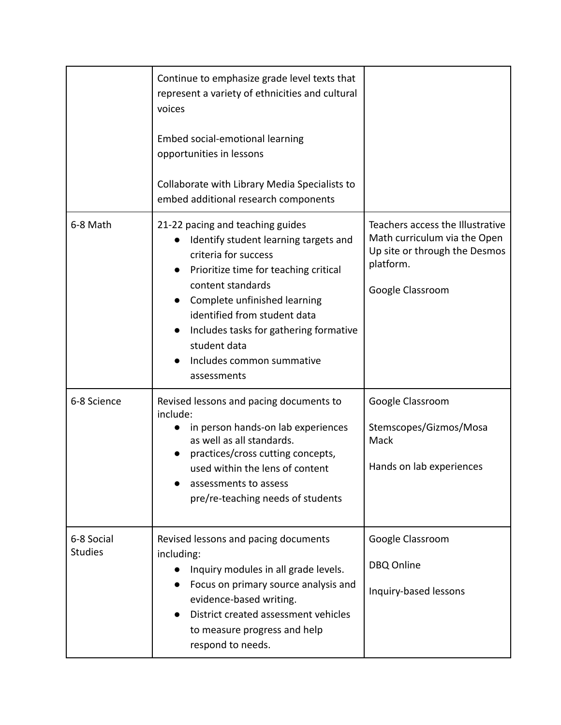|                              | Continue to emphasize grade level texts that<br>represent a variety of ethnicities and cultural<br>voices<br>Embed social-emotional learning<br>opportunities in lessons<br>Collaborate with Library Media Specialists to<br>embed additional research components                                                                     |                                                                                                                                    |
|------------------------------|---------------------------------------------------------------------------------------------------------------------------------------------------------------------------------------------------------------------------------------------------------------------------------------------------------------------------------------|------------------------------------------------------------------------------------------------------------------------------------|
| 6-8 Math                     | 21-22 pacing and teaching guides<br>Identify student learning targets and<br>criteria for success<br>Prioritize time for teaching critical<br>content standards<br>Complete unfinished learning<br>identified from student data<br>Includes tasks for gathering formative<br>student data<br>Includes common summative<br>assessments | Teachers access the Illustrative<br>Math curriculum via the Open<br>Up site or through the Desmos<br>platform.<br>Google Classroom |
| 6-8 Science                  | Revised lessons and pacing documents to<br>include:<br>in person hands-on lab experiences<br>as well as all standards.<br>practices/cross cutting concepts,<br>used within the lens of content<br>assessments to assess<br>pre/re-teaching needs of students                                                                          | Google Classroom<br>Stemscopes/Gizmos/Mosa<br>Mack<br>Hands on lab experiences                                                     |
| 6-8 Social<br><b>Studies</b> | Revised lessons and pacing documents<br>including:<br>Inquiry modules in all grade levels.<br>Focus on primary source analysis and<br>evidence-based writing.<br>District created assessment vehicles<br>to measure progress and help<br>respond to needs.                                                                            | Google Classroom<br>DBQ Online<br>Inquiry-based lessons                                                                            |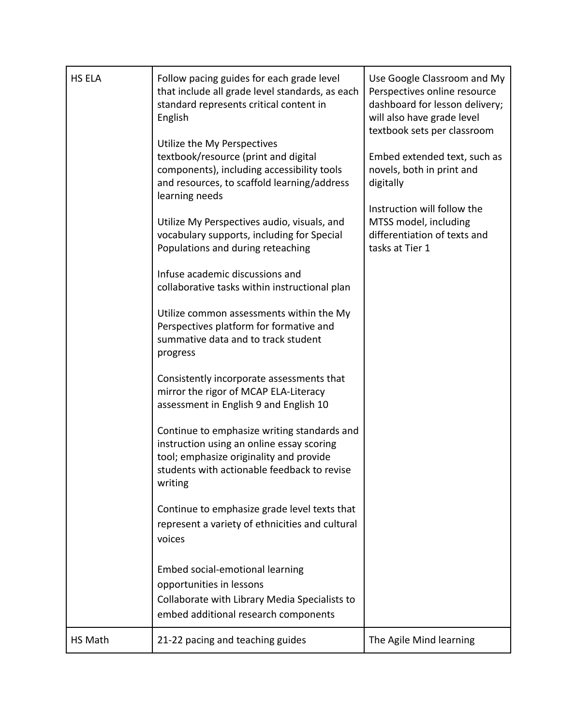| HS ELA  | Follow pacing guides for each grade level<br>that include all grade level standards, as each<br>standard represents critical content in<br>English                                            | Use Google Classroom and My<br>Perspectives online resource<br>dashboard for lesson delivery;<br>will also have grade level<br>textbook sets per classroom |
|---------|-----------------------------------------------------------------------------------------------------------------------------------------------------------------------------------------------|------------------------------------------------------------------------------------------------------------------------------------------------------------|
|         | Utilize the My Perspectives<br>textbook/resource (print and digital<br>components), including accessibility tools<br>and resources, to scaffold learning/address<br>learning needs            | Embed extended text, such as<br>novels, both in print and<br>digitally                                                                                     |
|         | Utilize My Perspectives audio, visuals, and<br>vocabulary supports, including for Special<br>Populations and during reteaching                                                                | Instruction will follow the<br>MTSS model, including<br>differentiation of texts and<br>tasks at Tier 1                                                    |
|         | Infuse academic discussions and<br>collaborative tasks within instructional plan                                                                                                              |                                                                                                                                                            |
|         | Utilize common assessments within the My<br>Perspectives platform for formative and<br>summative data and to track student<br>progress                                                        |                                                                                                                                                            |
|         | Consistently incorporate assessments that<br>mirror the rigor of MCAP ELA-Literacy<br>assessment in English 9 and English 10                                                                  |                                                                                                                                                            |
|         | Continue to emphasize writing standards and<br>instruction using an online essay scoring<br>tool; emphasize originality and provide<br>students with actionable feedback to revise<br>writing |                                                                                                                                                            |
|         | Continue to emphasize grade level texts that<br>represent a variety of ethnicities and cultural<br>voices                                                                                     |                                                                                                                                                            |
|         | Embed social-emotional learning<br>opportunities in lessons<br>Collaborate with Library Media Specialists to<br>embed additional research components                                          |                                                                                                                                                            |
| HS Math | 21-22 pacing and teaching guides                                                                                                                                                              | The Agile Mind learning                                                                                                                                    |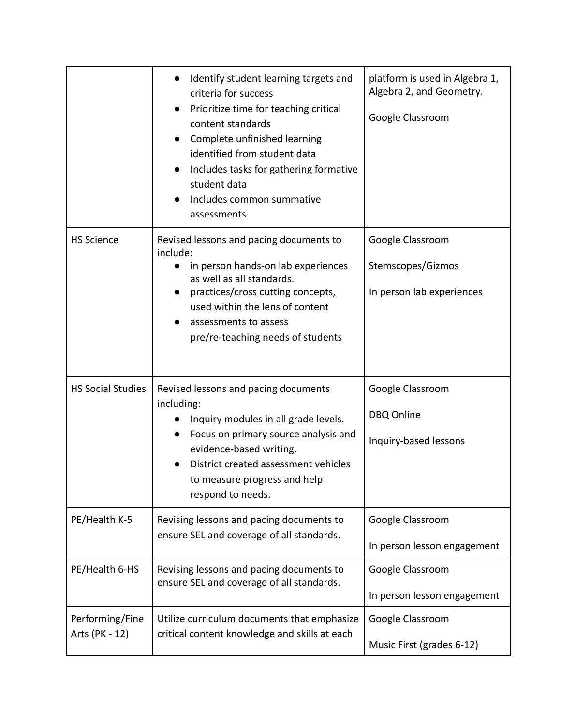|                                   | Identify student learning targets and<br>criteria for success<br>Prioritize time for teaching critical<br>content standards<br>Complete unfinished learning<br>identified from student data<br>Includes tasks for gathering formative<br>student data<br>Includes common summative<br>assessments | platform is used in Algebra 1,<br>Algebra 2, and Geometry.<br>Google Classroom |
|-----------------------------------|---------------------------------------------------------------------------------------------------------------------------------------------------------------------------------------------------------------------------------------------------------------------------------------------------|--------------------------------------------------------------------------------|
| <b>HS Science</b>                 | Revised lessons and pacing documents to<br>include:<br>in person hands-on lab experiences<br>as well as all standards.<br>practices/cross cutting concepts,<br>used within the lens of content<br>assessments to assess<br>pre/re-teaching needs of students                                      | Google Classroom<br>Stemscopes/Gizmos<br>In person lab experiences             |
| <b>HS Social Studies</b>          | Revised lessons and pacing documents<br>including:<br>Inquiry modules in all grade levels.<br>Focus on primary source analysis and<br>evidence-based writing.<br>District created assessment vehicles<br>to measure progress and help<br>respond to needs.                                        | Google Classroom<br>DBQ Online<br>Inquiry-based lessons                        |
| PE/Health K-5                     | Revising lessons and pacing documents to<br>ensure SEL and coverage of all standards.                                                                                                                                                                                                             | Google Classroom<br>In person lesson engagement                                |
| PE/Health 6-HS                    | Revising lessons and pacing documents to<br>ensure SEL and coverage of all standards.                                                                                                                                                                                                             | Google Classroom<br>In person lesson engagement                                |
| Performing/Fine<br>Arts (PK - 12) | Utilize curriculum documents that emphasize<br>critical content knowledge and skills at each                                                                                                                                                                                                      | Google Classroom<br>Music First (grades 6-12)                                  |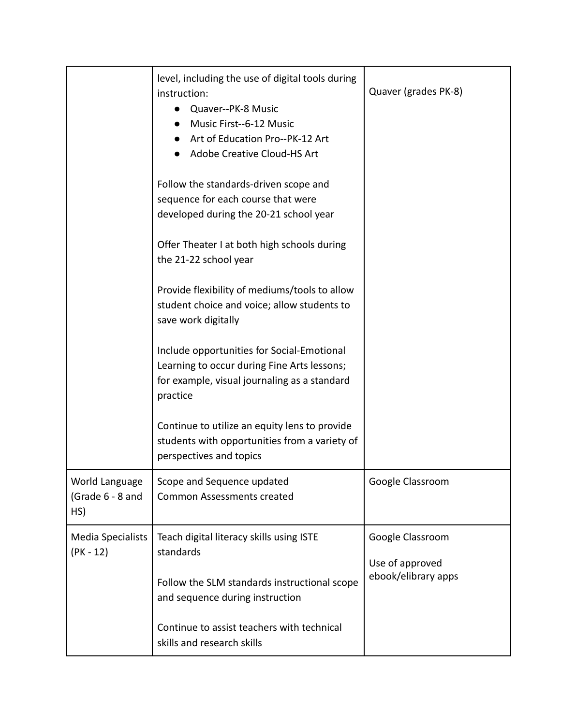|                                           | level, including the use of digital tools during<br>instruction:<br>Quaver--PK-8 Music<br>Music First--6-12 Music<br>Art of Education Pro--PK-12 Art<br>Adobe Creative Cloud-HS Art | Quaver (grades PK-8)                   |
|-------------------------------------------|-------------------------------------------------------------------------------------------------------------------------------------------------------------------------------------|----------------------------------------|
|                                           | Follow the standards-driven scope and<br>sequence for each course that were<br>developed during the 20-21 school year                                                               |                                        |
|                                           | Offer Theater I at both high schools during<br>the 21-22 school year                                                                                                                |                                        |
|                                           | Provide flexibility of mediums/tools to allow<br>student choice and voice; allow students to<br>save work digitally                                                                 |                                        |
|                                           | Include opportunities for Social-Emotional<br>Learning to occur during Fine Arts lessons;<br>for example, visual journaling as a standard<br>practice                               |                                        |
|                                           | Continue to utilize an equity lens to provide<br>students with opportunities from a variety of<br>perspectives and topics                                                           |                                        |
| World Language<br>(Grade 6 - 8 and<br>HS) | Scope and Sequence updated<br><b>Common Assessments created</b>                                                                                                                     | Google Classroom                       |
| <b>Media Specialists</b><br>$(PK - 12)$   | Teach digital literacy skills using ISTE<br>standards                                                                                                                               | Google Classroom                       |
|                                           | Follow the SLM standards instructional scope<br>and sequence during instruction                                                                                                     | Use of approved<br>ebook/elibrary apps |
|                                           | Continue to assist teachers with technical<br>skills and research skills                                                                                                            |                                        |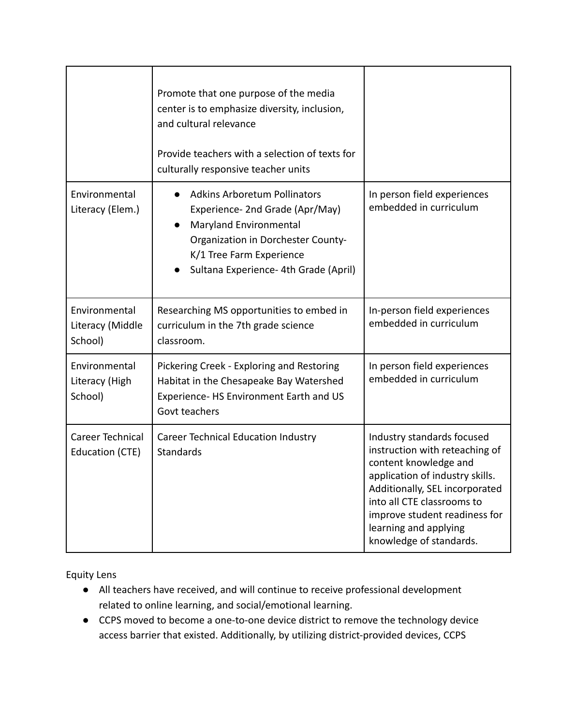|                                              | Promote that one purpose of the media<br>center is to emphasize diversity, inclusion,<br>and cultural relevance<br>Provide teachers with a selection of texts for<br>culturally responsive teacher units           |                                                                                                                                                                                                                                                                               |
|----------------------------------------------|--------------------------------------------------------------------------------------------------------------------------------------------------------------------------------------------------------------------|-------------------------------------------------------------------------------------------------------------------------------------------------------------------------------------------------------------------------------------------------------------------------------|
| Environmental<br>Literacy (Elem.)            | <b>Adkins Arboretum Pollinators</b><br>Experience- 2nd Grade (Apr/May)<br><b>Maryland Environmental</b><br>Organization in Dorchester County-<br>K/1 Tree Farm Experience<br>Sultana Experience- 4th Grade (April) | In person field experiences<br>embedded in curriculum                                                                                                                                                                                                                         |
| Environmental<br>Literacy (Middle<br>School) | Researching MS opportunities to embed in<br>curriculum in the 7th grade science<br>classroom.                                                                                                                      | In-person field experiences<br>embedded in curriculum                                                                                                                                                                                                                         |
| Environmental<br>Literacy (High<br>School)   | Pickering Creek - Exploring and Restoring<br>Habitat in the Chesapeake Bay Watershed<br>Experience- HS Environment Earth and US<br>Govt teachers                                                                   | In person field experiences<br>embedded in curriculum                                                                                                                                                                                                                         |
| Career Technical<br>Education (CTE)          | Career Technical Education Industry<br>Standards                                                                                                                                                                   | Industry standards focused<br>instruction with reteaching of<br>content knowledge and<br>application of industry skills.<br>Additionally, SEL incorporated<br>into all CTE classrooms to<br>improve student readiness for<br>learning and applying<br>knowledge of standards. |

Equity Lens

- All teachers have received, and will continue to receive professional development related to online learning, and social/emotional learning.
- CCPS moved to become a one-to-one device district to remove the technology device access barrier that existed. Additionally, by utilizing district-provided devices, CCPS